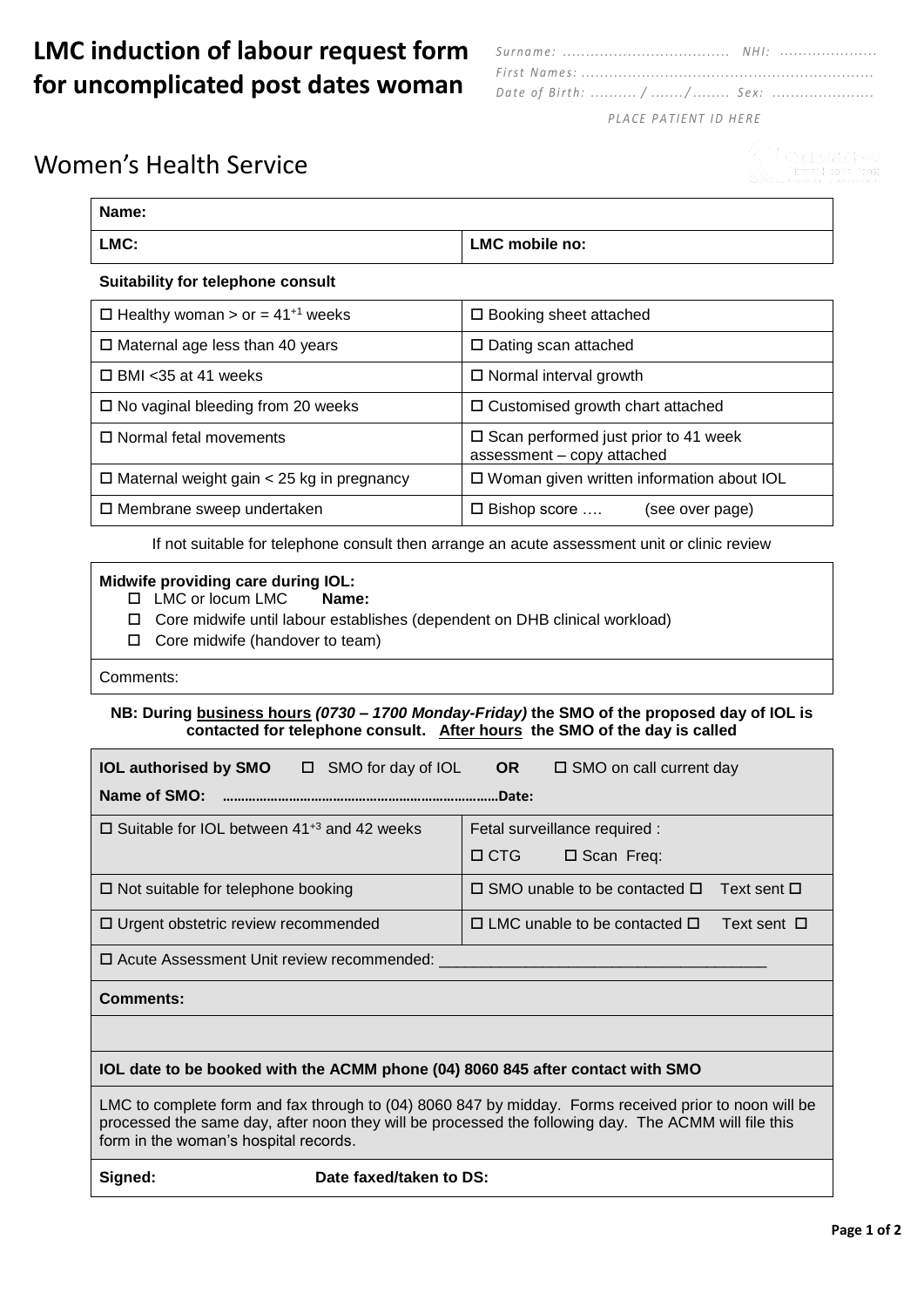## **LMC induction of labour request form for uncomplicated post dates woman**

| Date of Birth:  / / Sex:                        |  |
|-------------------------------------------------|--|
| $PI \triangle C$ F P $\triangle T$ IFNT IN HERE |  |

#### *P L A C E P A T I E NT I D H E R E*

## Women's Health Service

| Name:                                              |                                                                              |  |  |  |
|----------------------------------------------------|------------------------------------------------------------------------------|--|--|--|
| LMC:                                               | LMC mobile no:                                                               |  |  |  |
| Suitability for telephone consult                  |                                                                              |  |  |  |
| $\Box$ Healthy woman > or = 41 <sup>+1</sup> weeks | $\Box$ Booking sheet attached                                                |  |  |  |
| $\Box$ Maternal age less than 40 years             | $\Box$ Dating scan attached                                                  |  |  |  |
| $\Box$ BMI <35 at 41 weeks                         | $\Box$ Normal interval growth                                                |  |  |  |
| $\Box$ No vaginal bleeding from 20 weeks           | □ Customised growth chart attached                                           |  |  |  |
| $\Box$ Normal fetal movements                      | $\square$ Scan performed just prior to 41 week<br>assessment - copy attached |  |  |  |
| $\Box$ Maternal weight gain < 25 kg in pregnancy   | $\Box$ Woman given written information about IOL                             |  |  |  |
| $\Box$ Membrane sweep undertaken                   | $\square$ Bishop score<br>(see over page)                                    |  |  |  |

If not suitable for telephone consult then arrange an acute assessment unit or clinic review

# **Midwife providing care during IOL:**<br>□ LMC or locum LMC **Name:**

- $\Box$  LMC or locum LMC
- Core midwife until labour establishes (dependent on DHB clinical workload)
- $\Box$  Core midwife (handover to team)

Comments:

### **NB: During business hours** *(0730 – 1700 Monday-Friday)* **the SMO of the proposed day of IOL is contacted for telephone consult. After hours the SMO of the day is called**

| <b>IOL authorised by SMO</b> $\Box$ SMO for day of IOL<br><b>OR</b><br>$\square$ SMO on call current day                                                                                                                                               |                                                                     |  |  |  |  |
|--------------------------------------------------------------------------------------------------------------------------------------------------------------------------------------------------------------------------------------------------------|---------------------------------------------------------------------|--|--|--|--|
| $\Box$ Suitable for IOL between 41 <sup>+3</sup> and 42 weeks                                                                                                                                                                                          | Fetal surveillance required :<br>$\Box$ CTG<br>$\square$ Scan Freq: |  |  |  |  |
| $\Box$ Not suitable for telephone booking                                                                                                                                                                                                              | $\Box$ SMO unable to be contacted $\Box$<br>Text sent □             |  |  |  |  |
| $\Box$ Urgent obstetric review recommended                                                                                                                                                                                                             | $\Box$ LMC unable to be contacted $\Box$<br>Text sent $\Box$        |  |  |  |  |
| □ Acute Assessment Unit review recommended:                                                                                                                                                                                                            |                                                                     |  |  |  |  |
| <b>Comments:</b>                                                                                                                                                                                                                                       |                                                                     |  |  |  |  |
|                                                                                                                                                                                                                                                        |                                                                     |  |  |  |  |
| IOL date to be booked with the ACMM phone (04) 8060 845 after contact with SMO                                                                                                                                                                         |                                                                     |  |  |  |  |
| LMC to complete form and fax through to (04) 8060 847 by midday. Forms received prior to noon will be<br>processed the same day, after noon they will be processed the following day. The ACMM will file this<br>form in the woman's hospital records. |                                                                     |  |  |  |  |
| Date faxed/taken to DS:<br>Signed:                                                                                                                                                                                                                     |                                                                     |  |  |  |  |